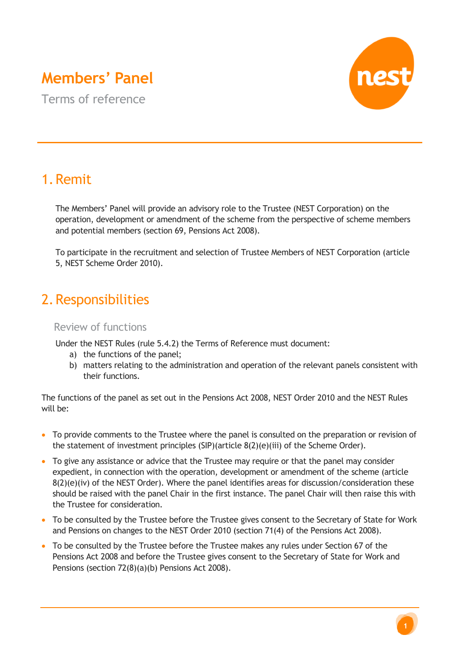# **Members' Panel**

Terms of reference



# 1.Remit

The Members' Panel will provide an advisory role to the Trustee (NEST Corporation) on the operation, development or amendment of the scheme from the perspective of scheme members and potential members (section 69, Pensions Act 2008).

To participate in the recruitment and selection of Trustee Members of NEST Corporation (article 5, NEST Scheme Order 2010).

# 2.Responsibilities

### Review of functions

Under the NEST Rules (rule 5.4.2) the Terms of Reference must document:

- a) the functions of the panel;
- b) matters relating to the administration and operation of the relevant panels consistent with their functions.

The functions of the panel as set out in the Pensions Act 2008, NEST Order 2010 and the NEST Rules will be:

- To provide comments to the Trustee where the panel is consulted on the preparation or revision of the statement of investment principles (SIP)(article 8(2)(e)(iii) of the Scheme Order).
- To give any assistance or advice that the Trustee may require or that the panel may consider expedient, in connection with the operation, development or amendment of the scheme (article 8(2)(e)(iv) of the NEST Order). Where the panel identifies areas for discussion/consideration these should be raised with the panel Chair in the first instance. The panel Chair will then raise this with the Trustee for consideration.
- To be consulted by the Trustee before the Trustee gives consent to the Secretary of State for Work and Pensions on changes to the NEST Order 2010 (section 71(4) of the Pensions Act 2008).
- To be consulted by the Trustee before the Trustee makes any rules under Section 67 of the Pensions Act 2008 and before the Trustee gives consent to the Secretary of State for Work and Pensions (section 72(8)(a)(b) Pensions Act 2008).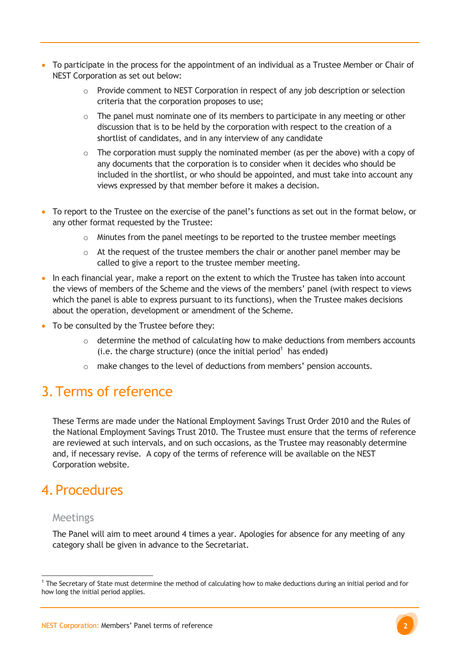- To participate in the process for the appointment of an individual as a Trustee Member or Chair of NEST Corporation as set out below:
	- $\circ$  Provide comment to NEST Corporation in respect of any job description or selection criteria that the corporation proposes to use;
	- $\circ$  The panel must nominate one of its members to participate in any meeting or other discussion that is to be held by the corporation with respect to the creation of a shortlist of candidates, and in any interview of any candidate
	- $\circ$  The corporation must supply the nominated member (as per the above) with a copy of any documents that the corporation is to consider when it decides who should be included in the shortlist, or who should be appointed, and must take into account any views expressed by that member before it makes a decision.
- To report to the Trustee on the exercise of the panel's functions as set out in the format below, or any other format requested by the Trustee:
	- o Minutes from the panel meetings to be reported to the trustee member meetings
	- $\circ$  At the request of the trustee members the chair or another panel member may be called to give a report to the trustee member meeting.
- In each financial year, make a report on the extent to which the Trustee has taken into account the views of members of the Scheme and the views of the members' panel (with respect to views which the panel is able to express pursuant to its functions), when the Trustee makes decisions about the operation, development or amendment of the Scheme.
- To be consulted by the Trustee before they:
	- $\circ$  determine the method of calculating how to make deductions from members accounts  $(i.e.$  the charge structure) (once the initial period<sup>1</sup> has ended)
	- o make changes to the level of deductions from members' pension accounts.

# 3.Terms of reference

These Terms are made under the National Employment Savings Trust Order 2010 and the Rules of the National Employment Savings Trust 2010. The Trustee must ensure that the terms of reference are reviewed at such intervals, and on such occasions, as the Trustee may reasonably determine and, if necessary revise. A copy of the terms of reference will be available on the NEST Corporation website.

## 4.Procedures

#### Meetings

 $\overline{a}$ 

The Panel will aim to meet around 4 times a year. Apologies for absence for any meeting of any category shall be given in advance to the Secretariat.

<sup>&</sup>lt;sup>1</sup> The Secretary of State must determine the method of calculating how to make deductions during an initial period and for how long the initial period applies.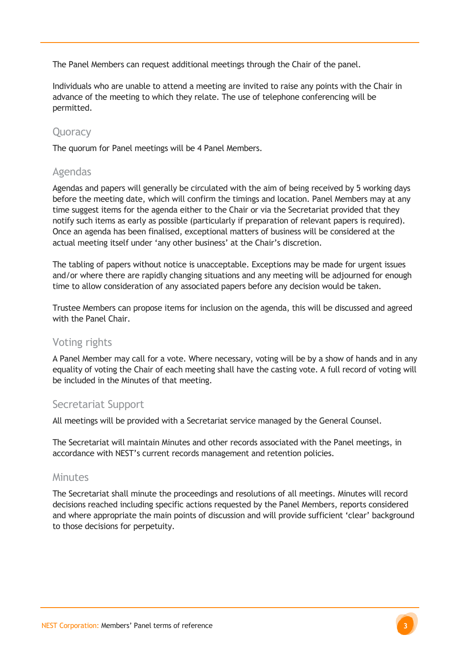The Panel Members can request additional meetings through the Chair of the panel.

Individuals who are unable to attend a meeting are invited to raise any points with the Chair in advance of the meeting to which they relate. The use of telephone conferencing will be permitted.

### **Ouoracy**

The quorum for Panel meetings will be 4 Panel Members.

### Agendas

Agendas and papers will generally be circulated with the aim of being received by 5 working days before the meeting date, which will confirm the timings and location. Panel Members may at any time suggest items for the agenda either to the Chair or via the Secretariat provided that they notify such items as early as possible (particularly if preparation of relevant papers is required). Once an agenda has been finalised, exceptional matters of business will be considered at the actual meeting itself under 'any other business' at the Chair's discretion.

The tabling of papers without notice is unacceptable. Exceptions may be made for urgent issues and/or where there are rapidly changing situations and any meeting will be adjourned for enough time to allow consideration of any associated papers before any decision would be taken.

Trustee Members can propose items for inclusion on the agenda, this will be discussed and agreed with the Panel Chair.

### Voting rights

A Panel Member may call for a vote. Where necessary, voting will be by a show of hands and in any equality of voting the Chair of each meeting shall have the casting vote. A full record of voting will be included in the Minutes of that meeting.

### Secretariat Support

All meetings will be provided with a Secretariat service managed by the General Counsel.

The Secretariat will maintain Minutes and other records associated with the Panel meetings, in accordance with NEST's current records management and retention policies.

### Minutes

The Secretariat shall minute the proceedings and resolutions of all meetings. Minutes will record decisions reached including specific actions requested by the Panel Members, reports considered and where appropriate the main points of discussion and will provide sufficient 'clear' background to those decisions for perpetuity.